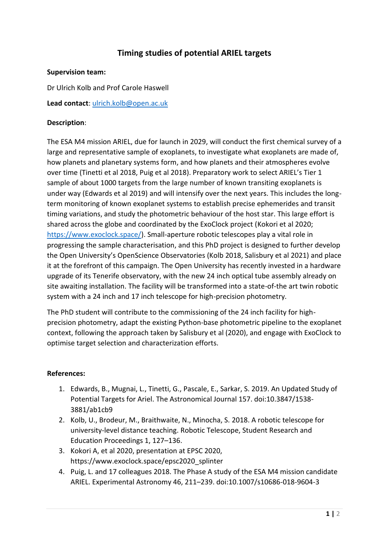# **Timing studies of potential ARIEL targets**

#### **Supervision team:**

Dr Ulrich Kolb and Prof Carole Haswell

**Lead contact**: [ulrich.kolb@open.ac.uk](mailto:ulrich.kolb@open.ac.uk)

#### **Description**:

The ESA M4 mission ARIEL, due for launch in 2029, will conduct the first chemical survey of a large and representative sample of exoplanets, to investigate what exoplanets are made of, how planets and planetary systems form, and how planets and their atmospheres evolve over time (Tinetti et al 2018, Puig et al 2018). Preparatory work to select ARIEL's Tier 1 sample of about 1000 targets from the large number of known transiting exoplanets is under way (Edwards et al 2019) and will intensify over the next years. This includes the longterm monitoring of known exoplanet systems to establish precise ephemerides and transit timing variations, and study the photometric behaviour of the host star. This large effort is shared across the globe and coordinated by the ExoClock project (Kokori et al 2020; [https://www.exoclock.space/\)](https://www.exoclock.space/). Small-aperture robotic telescopes play a vital role in progressing the sample characterisation, and this PhD project is designed to further develop the Open University's OpenScience Observatories (Kolb 2018, Salisbury et al 2021) and place it at the forefront of this campaign. The Open University has recently invested in a hardware upgrade of its Tenerife observatory, with the new 24 inch optical tube assembly already on site awaiting installation. The facility will be transformed into a state-of-the art twin robotic system with a 24 inch and 17 inch telescope for high-precision photometry.

The PhD student will contribute to the commissioning of the 24 inch facility for highprecision photometry, adapt the existing Python-base photometric pipeline to the exoplanet context, following the approach taken by Salisbury et al (2020), and engage with ExoClock to optimise target selection and characterization efforts.

### **References:**

- 1. Edwards, B., Mugnai, L., Tinetti, G., Pascale, E., Sarkar, S. 2019. An Updated Study of Potential Targets for Ariel. The Astronomical Journal 157. doi:10.3847/1538- 3881/ab1cb9
- 2. Kolb, U., Brodeur, M., Braithwaite, N., Minocha, S. 2018. A robotic telescope for university-level distance teaching. Robotic Telescope, Student Research and Education Proceedings 1, 127–136.
- 3. Kokori A, et al 2020, presentation at EPSC 2020, https://www.exoclock.space/epsc2020\_splinter
- 4. Puig, L. and 17 colleagues 2018. The Phase A study of the ESA M4 mission candidate ARIEL. Experimental Astronomy 46, 211–239. doi:10.1007/s10686-018-9604-3